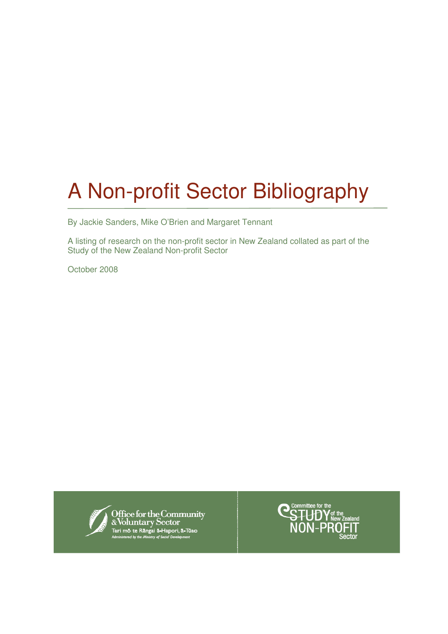# A Non-profit Sector Bibliography

By Jackie Sanders, Mike O'Brien and Margaret Tennant

A listing of research on the non-profit sector in New Zealand collated as part of the Study of the New Zealand Non-profit Sector

October 2008



Office for the Community<br>& Voluntary Sector<br>Tari mo te Răngai ă-Hapori, ă-Tūao<br><sup>Administered by the Ministry of Secial Development</sup>

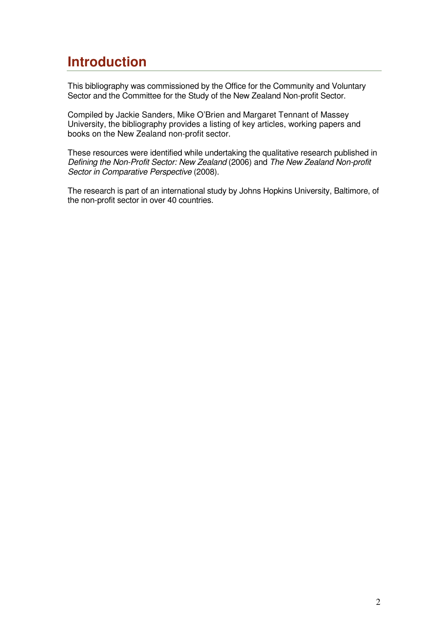## **Introduction**

This bibliography was commissioned by the Office for the Community and Voluntary Sector and the Committee for the Study of the New Zealand Non-profit Sector.

Compiled by Jackie Sanders, Mike O'Brien and Margaret Tennant of Massey University, the bibliography provides a listing of key articles, working papers and books on the New Zealand non-profit sector.

These resources were identified while undertaking the qualitative research published in Defining the Non-Profit Sector: New Zealand (2006) and The New Zealand Non-profit Sector in Comparative Perspective (2008).

The research is part of an international study by Johns Hopkins University, Baltimore, of the non-profit sector in over 40 countries.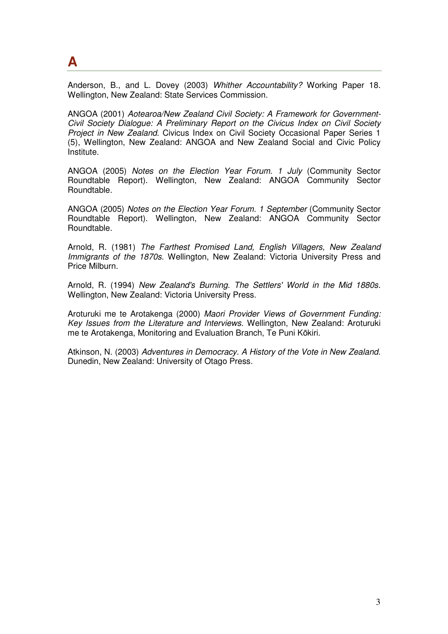**A** 

Anderson, B., and L. Dovey (2003) Whither Accountability? Working Paper 18. Wellington, New Zealand: State Services Commission.

ANGOA (2001) Aotearoa/New Zealand Civil Society: A Framework for Government-Civil Society Dialogue: A Preliminary Report on the Civicus Index on Civil Society Project in New Zealand. Civicus Index on Civil Society Occasional Paper Series 1 (5), Wellington, New Zealand: ANGOA and New Zealand Social and Civic Policy Institute.

ANGOA (2005) Notes on the Election Year Forum. 1 July (Community Sector Roundtable Report). Wellington, New Zealand: ANGOA Community Sector Roundtable.

ANGOA (2005) Notes on the Election Year Forum. 1 September (Community Sector Roundtable Report). Wellington, New Zealand: ANGOA Community Sector Roundtable.

Arnold, R. (1981) The Farthest Promised Land, English Villagers, New Zealand Immigrants of the 1870s. Wellington, New Zealand: Victoria University Press and Price Milburn.

Arnold, R. (1994) New Zealand's Burning. The Settlers' World in the Mid 1880s. Wellington, New Zealand: Victoria University Press.

Aroturuki me te Arotakenga (2000) Maori Provider Views of Government Funding: Key Issues from the Literature and Interviews. Wellington, New Zealand: Aroturuki me te Arotakenga, Monitoring and Evaluation Branch, Te Puni Kōkiri.

Atkinson, N. (2003) Adventures in Democracy. A History of the Vote in New Zealand. Dunedin, New Zealand: University of Otago Press.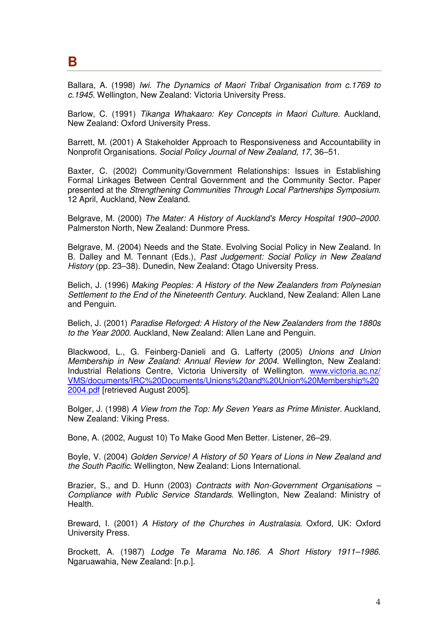#### **B**

Ballara, A. (1998) Iwi. The Dynamics of Maori Tribal Organisation from c.1769 to c.1945. Wellington, New Zealand: Victoria University Press.

Barlow, C. (1991) Tikanga Whakaaro: Key Concepts in Maori Culture. Auckland, New Zealand: Oxford University Press.

Barrett, M. (2001) A Stakeholder Approach to Responsiveness and Accountability in Nonprofit Organisations. Social Policy Journal of New Zealand, 17, 36–51.

Baxter, C. (2002) Community/Government Relationships: Issues in Establishing Formal Linkages Between Central Government and the Community Sector. Paper presented at the Strengthening Communities Through Local Partnerships Symposium. 12 April, Auckland, New Zealand.

Belgrave, M. (2000) The Mater: A History of Auckland's Mercy Hospital 1900–2000. Palmerston North, New Zealand: Dunmore Press.

Belgrave, M. (2004) Needs and the State. Evolving Social Policy in New Zealand. In B. Dalley and M. Tennant (Eds.), Past Judgement: Social Policy in New Zealand History (pp. 23–38). Dunedin, New Zealand: Otago University Press.

Belich, J. (1996) Making Peoples: A History of the New Zealanders from Polynesian Settlement to the End of the Nineteenth Century. Auckland, New Zealand: Allen Lane and Penguin.

Belich, J. (2001) Paradise Reforged: A History of the New Zealanders from the 1880s to the Year 2000. Auckland, New Zealand: Allen Lane and Penguin.

Blackwood, L., G. Feinberg-Danieli and G. Lafferty (2005) Unions and Union Membership in New Zealand: Annual Review for 2004. Wellington, New Zealand: Industrial Relations Centre, Victoria University of Wellington. www.victoria.ac.nz/ VMS/documents/IRC%20Documents/Unions%20and%20Union%20Membership%20 2004.pdf [retrieved August 2005].

Bolger, J. (1998) A View from the Top: My Seven Years as Prime Minister. Auckland, New Zealand: Viking Press.

Bone, A. (2002, August 10) To Make Good Men Better. Listener, 26–29.

Boyle, V. (2004) Golden Service! A History of 50 Years of Lions in New Zealand and the South Pacific. Wellington, New Zealand: Lions International.

Brazier, S., and D. Hunn (2003) Contracts with Non-Government Organisations – Compliance with Public Service Standards. Wellington, New Zealand: Ministry of Health.

Breward, I. (2001) A History of the Churches in Australasia. Oxford, UK: Oxford University Press.

Brockett, A. (1987) Lodge Te Marama No.186. A Short History 1911–1986. Ngaruawahia, New Zealand: [n.p.].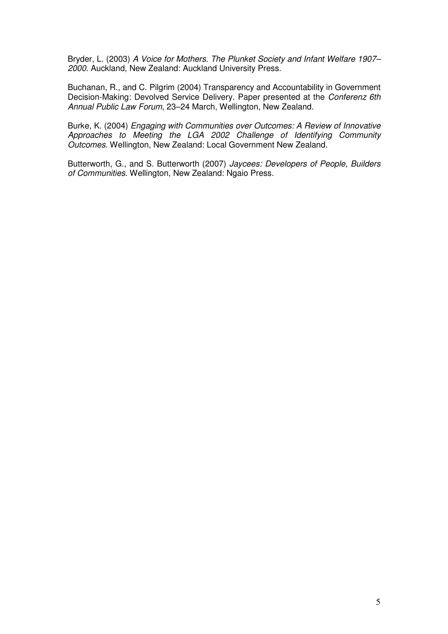Bryder, L. (2003) A Voice for Mothers. The Plunket Society and Infant Welfare 1907– 2000. Auckland, New Zealand: Auckland University Press.

Buchanan, R., and C. Pilgrim (2004) Transparency and Accountability in Government Decision-Making: Devolved Service Delivery. Paper presented at the Conferenz 6th Annual Public Law Forum, 23–24 March, Wellington, New Zealand.

Burke, K. (2004) Engaging with Communities over Outcomes: A Review of Innovative Approaches to Meeting the LGA 2002 Challenge of Identifying Community Outcomes. Wellington, New Zealand: Local Government New Zealand.

Butterworth, G., and S. Butterworth (2007) Jaycees: Developers of People, Builders of Communities. Wellington, New Zealand: Ngaio Press.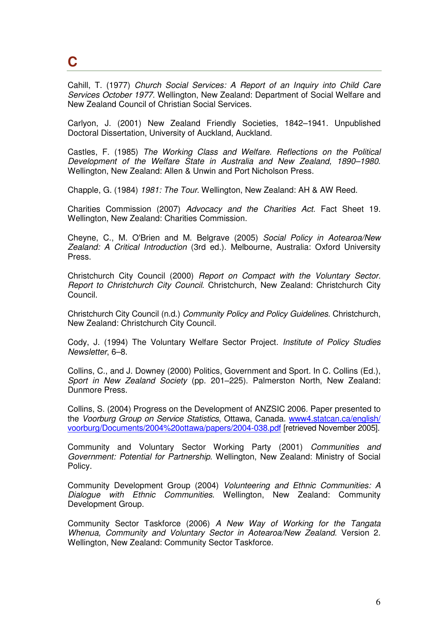## **C**

Cahill, T. (1977) Church Social Services: A Report of an Inquiry into Child Care Services October 1977. Wellington, New Zealand: Department of Social Welfare and New Zealand Council of Christian Social Services.

Carlyon, J. (2001) New Zealand Friendly Societies, 1842–1941. Unpublished Doctoral Dissertation, University of Auckland, Auckland.

Castles, F. (1985) The Working Class and Welfare. Reflections on the Political Development of the Welfare State in Australia and New Zealand, 1890–1980. Wellington, New Zealand: Allen & Unwin and Port Nicholson Press.

Chapple, G. (1984) 1981: The Tour. Wellington, New Zealand: AH & AW Reed.

Charities Commission (2007) Advocacy and the Charities Act. Fact Sheet 19. Wellington, New Zealand: Charities Commission.

Cheyne, C., M. O'Brien and M. Belgrave (2005) Social Policy in Aotearoa/New Zealand: A Critical Introduction (3rd ed.). Melbourne, Australia: Oxford University Press.

Christchurch City Council (2000) Report on Compact with the Voluntary Sector. Report to Christchurch City Council. Christchurch, New Zealand: Christchurch City Council.

Christchurch City Council (n.d.) Community Policy and Policy Guidelines. Christchurch, New Zealand: Christchurch City Council.

Cody, J. (1994) The Voluntary Welfare Sector Project. Institute of Policy Studies Newsletter, 6–8.

Collins, C., and J. Downey (2000) Politics, Government and Sport. In C. Collins (Ed.), Sport in New Zealand Society (pp. 201–225). Palmerston North, New Zealand: Dunmore Press.

Collins, S. (2004) Progress on the Development of ANZSIC 2006. Paper presented to the Voorburg Group on Service Statistics, Ottawa, Canada. www4.statcan.ca/english/ voorburg/Documents/2004%20ottawa/papers/2004-038.pdf [retrieved November 2005].

Community and Voluntary Sector Working Party (2001) Communities and Government: Potential for Partnership. Wellington, New Zealand: Ministry of Social Policy.

Community Development Group (2004) Volunteering and Ethnic Communities: A Dialogue with Ethnic Communities. Wellington, New Zealand: Community Development Group.

Community Sector Taskforce (2006) A New Way of Working for the Tangata Whenua, Community and Voluntary Sector in Aotearoa/New Zealand. Version 2. Wellington, New Zealand: Community Sector Taskforce.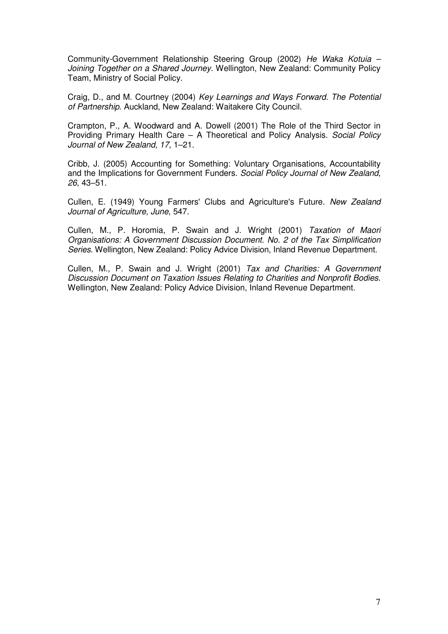Community-Government Relationship Steering Group (2002) He Waka Kotuia – Joining Together on a Shared Journey. Wellington, New Zealand: Community Policy Team, Ministry of Social Policy.

Craig, D., and M. Courtney (2004) Key Learnings and Ways Forward. The Potential of Partnership. Auckland, New Zealand: Waitakere City Council.

Crampton, P., A. Woodward and A. Dowell (2001) The Role of the Third Sector in Providing Primary Health Care – A Theoretical and Policy Analysis. Social Policy Journal of New Zealand, 17, 1–21.

Cribb, J. (2005) Accounting for Something: Voluntary Organisations, Accountability and the Implications for Government Funders. Social Policy Journal of New Zealand, 26, 43–51.

Cullen, E. (1949) Young Farmers' Clubs and Agriculture's Future. New Zealand Journal of Agriculture, June, 547.

Cullen, M., P. Horomia, P. Swain and J. Wright (2001) Taxation of Maori Organisations: A Government Discussion Document. No. 2 of the Tax Simplification Series. Wellington, New Zealand: Policy Advice Division, Inland Revenue Department.

Cullen, M., P. Swain and J. Wright (2001) Tax and Charities: A Government Discussion Document on Taxation Issues Relating to Charities and Nonprofit Bodies. Wellington, New Zealand: Policy Advice Division, Inland Revenue Department.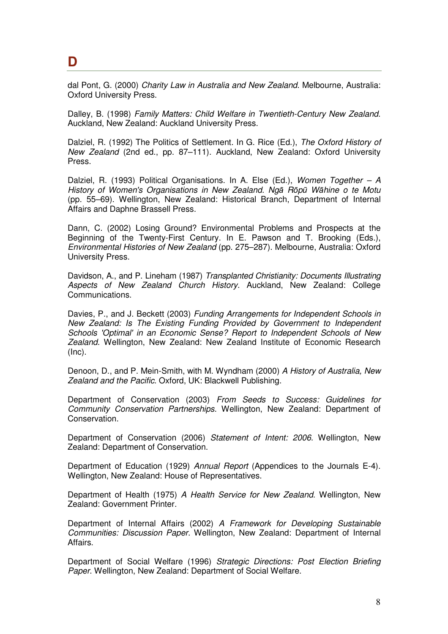#### **D**

dal Pont, G. (2000) Charity Law in Australia and New Zealand. Melbourne, Australia: Oxford University Press.

Dalley, B. (1998) Family Matters: Child Welfare in Twentieth-Century New Zealand. Auckland, New Zealand: Auckland University Press.

Dalziel, R. (1992) The Politics of Settlement. In G. Rice (Ed.), The Oxford History of New Zealand (2nd ed., pp. 87–111). Auckland, New Zealand: Oxford University Press.

Dalziel, R. (1993) Political Organisations. In A. Else (Ed.), Women Together – A History of Women's Organisations in New Zealand. Ngā Rōpū Wāhine o te Motu (pp. 55–69). Wellington, New Zealand: Historical Branch, Department of Internal Affairs and Daphne Brassell Press.

Dann, C. (2002) Losing Ground? Environmental Problems and Prospects at the Beginning of the Twenty-First Century. In E. Pawson and T. Brooking (Eds.), Environmental Histories of New Zealand (pp. 275–287). Melbourne, Australia: Oxford University Press.

Davidson, A., and P. Lineham (1987) Transplanted Christianity: Documents Illustrating Aspects of New Zealand Church History. Auckland, New Zealand: College Communications.

Davies, P., and J. Beckett (2003) Funding Arrangements for Independent Schools in New Zealand: Is The Existing Funding Provided by Government to Independent Schools 'Optimal' in an Economic Sense? Report to Independent Schools of New Zealand. Wellington, New Zealand: New Zealand Institute of Economic Research  $(Inc).$ 

Denoon, D., and P. Mein-Smith, with M. Wyndham (2000) A History of Australia, New Zealand and the Pacific. Oxford, UK: Blackwell Publishing.

Department of Conservation (2003) From Seeds to Success: Guidelines for Community Conservation Partnerships. Wellington, New Zealand: Department of Conservation.

Department of Conservation (2006) Statement of Intent: 2006. Wellington, New Zealand: Department of Conservation.

Department of Education (1929) Annual Report (Appendices to the Journals E-4). Wellington, New Zealand: House of Representatives.

Department of Health (1975) A Health Service for New Zealand. Wellington, New Zealand: Government Printer.

Department of Internal Affairs (2002) A Framework for Developing Sustainable Communities: Discussion Paper. Wellington, New Zealand: Department of Internal Affairs.

Department of Social Welfare (1996) Strategic Directions: Post Election Briefing Paper. Wellington, New Zealand: Department of Social Welfare.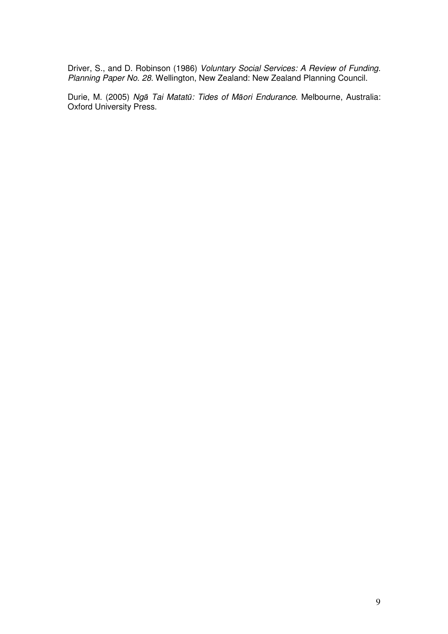Driver, S., and D. Robinson (1986) Voluntary Social Services: A Review of Funding. Planning Paper No. 28. Wellington, New Zealand: New Zealand Planning Council.

Durie, M. (2005) Ngā Tai Matatū: Tides of Māori Endurance. Melbourne, Australia: Oxford University Press.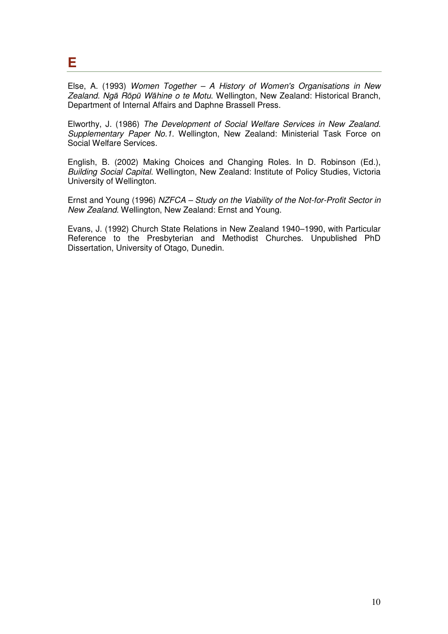**E** 

Else, A. (1993) Women Together – A History of Women's Organisations in New Zealand. Ngā Rōpū Wāhine o te Motu. Wellington, New Zealand: Historical Branch, Department of Internal Affairs and Daphne Brassell Press.

Elworthy, J. (1986) The Development of Social Welfare Services in New Zealand. Supplementary Paper No.1. Wellington, New Zealand: Ministerial Task Force on Social Welfare Services.

English, B. (2002) Making Choices and Changing Roles. In D. Robinson (Ed.), Building Social Capital. Wellington, New Zealand: Institute of Policy Studies, Victoria University of Wellington.

Ernst and Young (1996) NZFCA – Study on the Viability of the Not-for-Profit Sector in New Zealand. Wellington, New Zealand: Ernst and Young.

Evans, J. (1992) Church State Relations in New Zealand 1940–1990, with Particular Reference to the Presbyterian and Methodist Churches. Unpublished PhD Dissertation, University of Otago, Dunedin.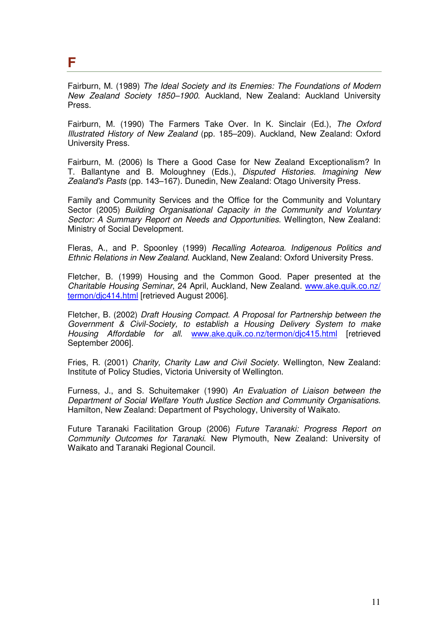**F** 

Fairburn, M. (1989) The Ideal Society and its Enemies: The Foundations of Modern New Zealand Society 1850–1900. Auckland, New Zealand: Auckland University Press.

Fairburn, M. (1990) The Farmers Take Over. In K. Sinclair (Ed.), The Oxford Illustrated History of New Zealand (pp. 185–209). Auckland, New Zealand: Oxford University Press.

Fairburn, M. (2006) Is There a Good Case for New Zealand Exceptionalism? In T. Ballantyne and B. Moloughney (Eds.), Disputed Histories. Imagining New Zealand's Pasts (pp. 143–167). Dunedin, New Zealand: Otago University Press.

Family and Community Services and the Office for the Community and Voluntary Sector (2005) Building Organisational Capacity in the Community and Voluntary Sector: A Summary Report on Needs and Opportunities. Wellington, New Zealand: Ministry of Social Development.

Fleras, A., and P. Spoonley (1999) Recalling Aotearoa. Indigenous Politics and Ethnic Relations in New Zealand. Auckland, New Zealand: Oxford University Press.

Fletcher, B. (1999) Housing and the Common Good. Paper presented at the Charitable Housing Seminar, 24 April, Auckland, New Zealand. www.ake.quik.co.nz/ termon/djc414.html [retrieved August 2006].

Fletcher, B. (2002) Draft Housing Compact. A Proposal for Partnership between the Government & Civil-Society, to establish a Housing Delivery System to make Housing Affordable for all www.ake.quik.co.nz/termon/dic415.html [retrieved September 2006].

Fries, R. (2001) Charity, Charity Law and Civil Society. Wellington, New Zealand: Institute of Policy Studies, Victoria University of Wellington.

Furness, J., and S. Schuitemaker (1990) An Evaluation of Liaison between the Department of Social Welfare Youth Justice Section and Community Organisations. Hamilton, New Zealand: Department of Psychology, University of Waikato.

Future Taranaki Facilitation Group (2006) Future Taranaki: Progress Report on Community Outcomes for Taranaki. New Plymouth, New Zealand: University of Waikato and Taranaki Regional Council.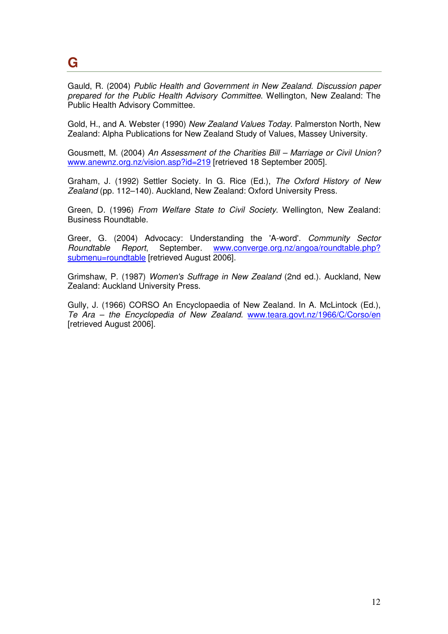## **G**

Gauld, R. (2004) Public Health and Government in New Zealand. Discussion paper prepared for the Public Health Advisory Committee. Wellington, New Zealand: The Public Health Advisory Committee.

Gold, H., and A. Webster (1990) New Zealand Values Today. Palmerston North, New Zealand: Alpha Publications for New Zealand Study of Values, Massey University.

Gousmett, M. (2004) An Assessment of the Charities Bill – Marriage or Civil Union? www.anewnz.org.nz/vision.asp?id=219 [retrieved 18 September 2005].

Graham, J. (1992) Settler Society. In G. Rice (Ed.), The Oxford History of New Zealand (pp. 112–140). Auckland, New Zealand: Oxford University Press.

Green, D. (1996) From Welfare State to Civil Society. Wellington, New Zealand: Business Roundtable.

Greer, G. (2004) Advocacy: Understanding the 'A-word'. Community Sector Roundtable Report, September. www.converge.org.nz/angoa/roundtable.php? submenu=roundtable [retrieved August 2006].

Grimshaw, P. (1987) Women's Suffrage in New Zealand (2nd ed.). Auckland, New Zealand: Auckland University Press.

Gully, J. (1966) CORSO An Encyclopaedia of New Zealand. In A. McLintock (Ed.), Te Ara – the Encyclopedia of New Zealand. www.teara.govt.nz/1966/C/Corso/en [retrieved August 2006].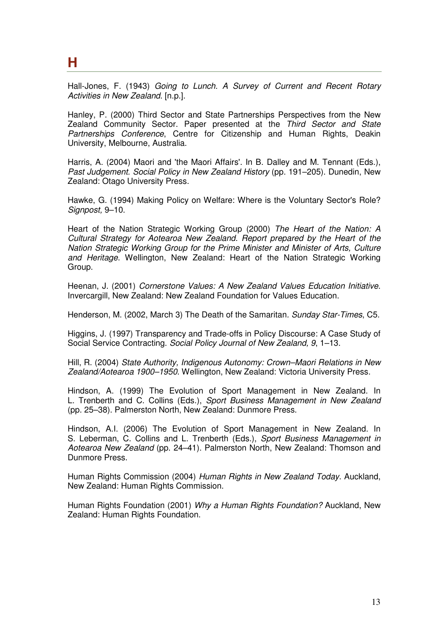Hall-Jones, F. (1943) Going to Lunch. A Survey of Current and Recent Rotary Activities in New Zealand. [n.p.].

Hanley, P. (2000) Third Sector and State Partnerships Perspectives from the New Zealand Community Sector. Paper presented at the Third Sector and State Partnerships Conference, Centre for Citizenship and Human Rights, Deakin University, Melbourne, Australia.

Harris, A. (2004) Maori and 'the Maori Affairs'. In B. Dalley and M. Tennant (Eds.), Past Judgement. Social Policy in New Zealand History (pp. 191–205). Dunedin, New Zealand: Otago University Press.

Hawke, G. (1994) Making Policy on Welfare: Where is the Voluntary Sector's Role? Signpost, 9–10.

Heart of the Nation Strategic Working Group (2000) The Heart of the Nation: A Cultural Strategy for Aotearoa New Zealand. Report prepared by the Heart of the Nation Strategic Working Group for the Prime Minister and Minister of Arts, Culture and Heritage. Wellington, New Zealand: Heart of the Nation Strategic Working Group.

Heenan, J. (2001) Cornerstone Values: A New Zealand Values Education Initiative. Invercargill, New Zealand: New Zealand Foundation for Values Education.

Henderson, M. (2002, March 3) The Death of the Samaritan. Sunday Star-Times, C5.

Higgins, J. (1997) Transparency and Trade-offs in Policy Discourse: A Case Study of Social Service Contracting. Social Policy Journal of New Zealand, 9, 1–13.

Hill, R. (2004) State Authority, Indigenous Autonomy: Crown–Maori Relations in New Zealand/Aotearoa 1900–1950. Wellington, New Zealand: Victoria University Press.

Hindson, A. (1999) The Evolution of Sport Management in New Zealand. In L. Trenberth and C. Collins (Eds.), Sport Business Management in New Zealand (pp. 25–38). Palmerston North, New Zealand: Dunmore Press.

Hindson, A.I. (2006) The Evolution of Sport Management in New Zealand. In S. Leberman, C. Collins and L. Trenberth (Eds.), Sport Business Management in Aotearoa New Zealand (pp. 24–41). Palmerston North, New Zealand: Thomson and Dunmore Press.

Human Rights Commission (2004) Human Rights in New Zealand Today, Auckland, New Zealand: Human Rights Commission.

Human Rights Foundation (2001) Why a Human Rights Foundation? Auckland, New Zealand: Human Rights Foundation.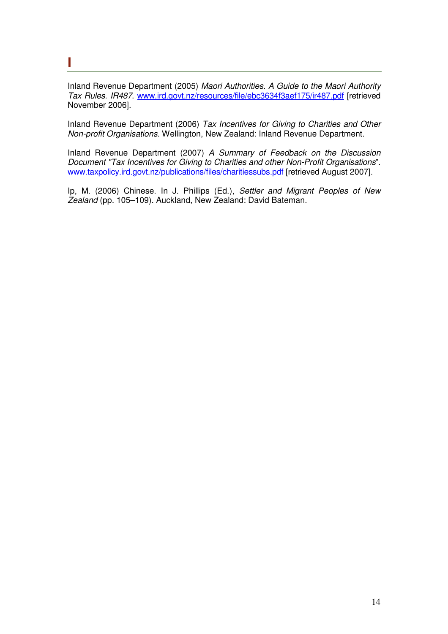#### **I**

Inland Revenue Department (2005) Maori Authorities. A Guide to the Maori Authority Tax Rules. IR487. www.ird.govt.nz/resources/file/ebc3634f3aef175/ir487.pdf [retrieved November 2006].

Inland Revenue Department (2006) Tax Incentives for Giving to Charities and Other Non-profit Organisations. Wellington, New Zealand: Inland Revenue Department.

Inland Revenue Department (2007) A Summary of Feedback on the Discussion Document "Tax Incentives for Giving to Charities and other Non-Profit Organisations". www.taxpolicy.ird.govt.nz/publications/files/charitiessubs.pdf [retrieved August 2007].

Ip, M. (2006) Chinese. In J. Phillips (Ed.), Settler and Migrant Peoples of New Zealand (pp. 105–109). Auckland, New Zealand: David Bateman.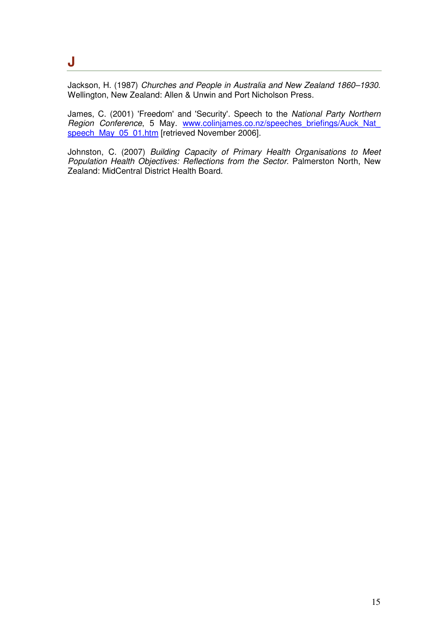#### **J**

Jackson, H. (1987) Churches and People in Australia and New Zealand 1860–1930. Wellington, New Zealand: Allen & Unwin and Port Nicholson Press.

James, C. (2001) 'Freedom' and 'Security'. Speech to the National Party Northern Region Conference, 5 May. www.colinjames.co.nz/speeches\_briefings/Auck\_Nat speech\_May\_05\_01.htm [retrieved November 2006].

Johnston, C. (2007) Building Capacity of Primary Health Organisations to Meet Population Health Objectives: Reflections from the Sector. Palmerston North, New Zealand: MidCentral District Health Board.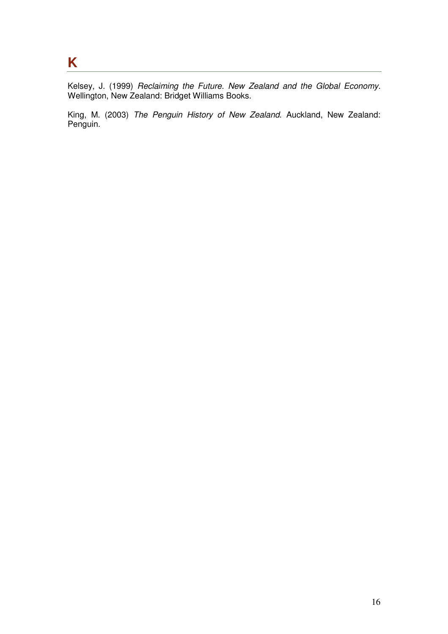## **K**

Kelsey, J. (1999) Reclaiming the Future. New Zealand and the Global Economy. Wellington, New Zealand: Bridget Williams Books.

King, M. (2003) The Penguin History of New Zealand. Auckland, New Zealand: Penguin.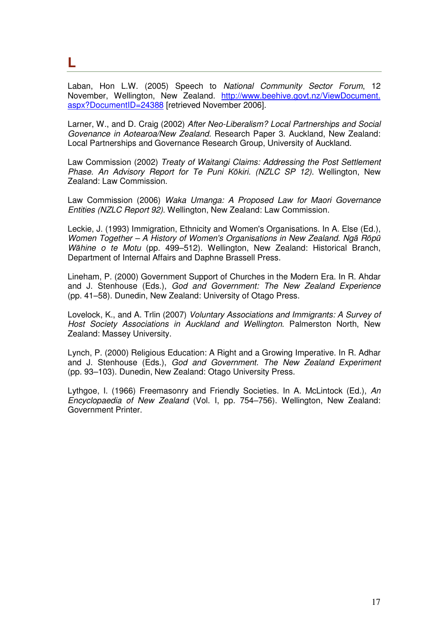**L** 

Laban, Hon L.W. (2005) Speech to National Community Sector Forum, 12 November, Wellington, New Zealand. http://www.beehive.govt.nz/ViewDocument. aspx?DocumentID=24388 [retrieved November 2006].

Larner, W., and D. Craig (2002) After Neo-Liberalism? Local Partnerships and Social Govenance in Aotearoa/New Zealand. Research Paper 3. Auckland, New Zealand: Local Partnerships and Governance Research Group, University of Auckland.

Law Commission (2002) Treaty of Waitangi Claims: Addressing the Post Settlement Phase. An Advisory Report for Te Puni Kōkiri. (NZLC SP 12). Wellington, New Zealand: Law Commission.

Law Commission (2006) Waka Umanga: A Proposed Law for Maori Governance Entities (NZLC Report 92). Wellington, New Zealand: Law Commission.

Leckie, J. (1993) Immigration, Ethnicity and Women's Organisations. In A. Else (Ed.), Women Together – A History of Women's Organisations in New Zealand. Ngā Rōpū Wāhine o te Motu (pp. 499–512). Wellington, New Zealand: Historical Branch, Department of Internal Affairs and Daphne Brassell Press.

Lineham, P. (2000) Government Support of Churches in the Modern Era. In R. Ahdar and J. Stenhouse (Eds.), God and Government: The New Zealand Experience (pp. 41–58). Dunedin, New Zealand: University of Otago Press.

Lovelock, K., and A. Trlin (2007) Voluntary Associations and Immigrants: A Survey of Host Society Associations in Auckland and Wellington. Palmerston North, New Zealand: Massey University.

Lynch, P. (2000) Religious Education: A Right and a Growing Imperative. In R. Adhar and J. Stenhouse (Eds.), God and Government. The New Zealand Experiment (pp. 93–103). Dunedin, New Zealand: Otago University Press.

Lythgoe, I. (1966) Freemasonry and Friendly Societies. In A. McLintock (Ed.), An Encyclopaedia of New Zealand (Vol. I, pp. 754–756). Wellington, New Zealand: Government Printer.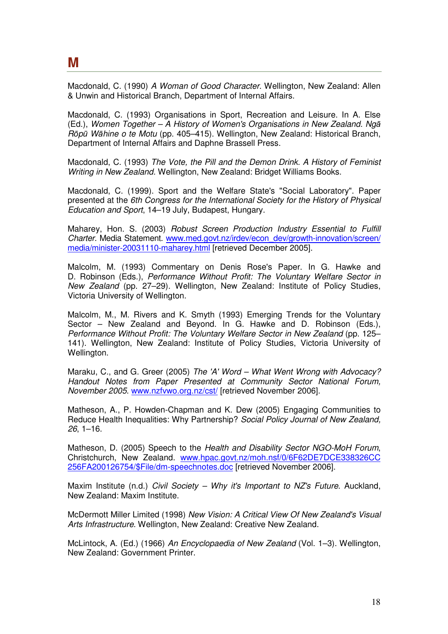Macdonald, C. (1990) A Woman of Good Character. Wellington, New Zealand: Allen & Unwin and Historical Branch, Department of Internal Affairs.

Macdonald, C. (1993) Organisations in Sport, Recreation and Leisure. In A. Else (Ed.), Women Together – A History of Women's Organisations in New Zealand. Ngā Rōpū Wāhine o te Motu (pp. 405–415). Wellington, New Zealand: Historical Branch, Department of Internal Affairs and Daphne Brassell Press.

Macdonald, C. (1993) The Vote, the Pill and the Demon Drink. A History of Feminist Writing in New Zealand. Wellington, New Zealand: Bridget Williams Books.

Macdonald, C. (1999). Sport and the Welfare State's "Social Laboratory". Paper presented at the 6th Congress for the International Society for the History of Physical Education and Sport, 14–19 July, Budapest, Hungary.

Maharey, Hon. S. (2003) Robust Screen Production Industry Essential to Fulfill Charter. Media Statement. www.med.govt.nz/irdev/econ\_dev/growth-innovation/screen/ media/minister-20031110-maharey.html [retrieved December 2005].

Malcolm, M. (1993) Commentary on Denis Rose's Paper. In G. Hawke and D. Robinson (Eds.), Performance Without Profit: The Voluntary Welfare Sector in New Zealand (pp. 27–29). Wellington, New Zealand: Institute of Policy Studies, Victoria University of Wellington.

Malcolm, M., M. Rivers and K. Smyth (1993) Emerging Trends for the Voluntary Sector – New Zealand and Beyond. In G. Hawke and D. Robinson (Eds.), Performance Without Profit: The Voluntary Welfare Sector in New Zealand (pp. 125– 141). Wellington, New Zealand: Institute of Policy Studies, Victoria University of Wellington.

Maraku, C., and G. Greer (2005) The 'A' Word – What Went Wrong with Advocacy? Handout Notes from Paper Presented at Community Sector National Forum, November 2005. www.nzfvwo.org.nz/cst/ [retrieved November 2006].

Matheson, A., P. Howden-Chapman and K. Dew (2005) Engaging Communities to Reduce Health Inequalities: Why Partnership? Social Policy Journal of New Zealand, 26, 1–16.

Matheson, D. (2005) Speech to the Health and Disability Sector NGO-MoH Forum, Christchurch, New Zealand. www.hpac.govt.nz/moh.nsf/0/6F62DE7DCE338326CC 256FA200126754/\$File/dm-speechnotes.doc [retrieved November 2006].

Maxim Institute (n.d.) Civil Society – Why it's Important to NZ's Future. Auckland, New Zealand: Maxim Institute.

McDermott Miller Limited (1998) New Vision: A Critical View Of New Zealand's Visual Arts Infrastructure. Wellington, New Zealand: Creative New Zealand.

McLintock, A. (Ed.) (1966) An Encyclopaedia of New Zealand (Vol. 1–3). Wellington, New Zealand: Government Printer.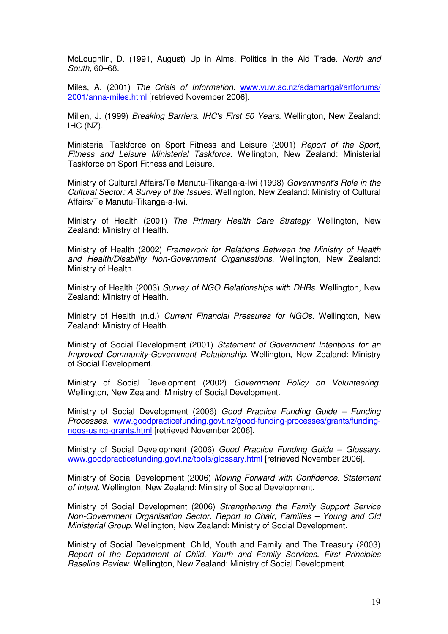McLoughlin, D. (1991, August) Up in Alms. Politics in the Aid Trade. North and South, 60–68.

Miles, A. (2001) The Crisis of Information. www.vuw.ac.nz/adamartgal/artforums/ 2001/anna-miles.html [retrieved November 2006].

Millen, J. (1999) Breaking Barriers. IHC's First 50 Years. Wellington, New Zealand: IHC (NZ).

Ministerial Taskforce on Sport Fitness and Leisure (2001) Report of the Sport, Fitness and Leisure Ministerial Taskforce. Wellington, New Zealand: Ministerial Taskforce on Sport Fitness and Leisure.

Ministry of Cultural Affairs/Te Manutu-Tikanga-a-Iwi (1998) Government's Role in the Cultural Sector: A Survey of the Issues. Wellington, New Zealand: Ministry of Cultural Affairs/Te Manutu-Tikanga-a-Iwi.

Ministry of Health (2001) The Primary Health Care Strategy. Wellington, New Zealand: Ministry of Health.

Ministry of Health (2002) Framework for Relations Between the Ministry of Health and Health/Disability Non-Government Organisations. Wellington, New Zealand: Ministry of Health.

Ministry of Health (2003) Survey of NGO Relationships with DHBs. Wellington, New Zealand: Ministry of Health.

Ministry of Health (n.d.) Current Financial Pressures for NGOs. Wellington, New Zealand: Ministry of Health.

Ministry of Social Development (2001) Statement of Government Intentions for an Improved Community-Government Relationship. Wellington, New Zealand: Ministry of Social Development.

Ministry of Social Development (2002) Government Policy on Volunteering. Wellington, New Zealand: Ministry of Social Development.

Ministry of Social Development (2006) Good Practice Funding Guide – Funding Processes. www.goodpracticefunding.govt.nz/good-funding-processes/grants/fundingngos-using-grants.html [retrieved November 2006].

Ministry of Social Development (2006) Good Practice Funding Guide – Glossary. www.goodpracticefunding.govt.nz/tools/glossary.html [retrieved November 2006].

Ministry of Social Development (2006) Moving Forward with Confidence. Statement of Intent. Wellington, New Zealand: Ministry of Social Development.

Ministry of Social Development (2006) Strengthening the Family Support Service Non-Government Organisation Sector. Report to Chair, Families – Young and Old Ministerial Group. Wellington, New Zealand: Ministry of Social Development.

Ministry of Social Development, Child, Youth and Family and The Treasury (2003) Report of the Department of Child, Youth and Family Services. First Principles Baseline Review. Wellington, New Zealand: Ministry of Social Development.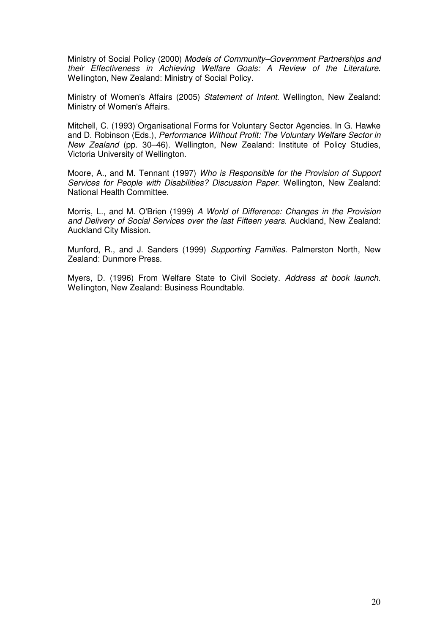Ministry of Social Policy (2000) Models of Community–Government Partnerships and their Effectiveness in Achieving Welfare Goals: A Review of the Literature. Wellington, New Zealand: Ministry of Social Policy.

Ministry of Women's Affairs (2005) Statement of Intent. Wellington, New Zealand: Ministry of Women's Affairs.

Mitchell, C. (1993) Organisational Forms for Voluntary Sector Agencies. In G. Hawke and D. Robinson (Eds.), Performance Without Profit: The Voluntary Welfare Sector in New Zealand (pp. 30–46). Wellington, New Zealand: Institute of Policy Studies, Victoria University of Wellington.

Moore, A., and M. Tennant (1997) Who is Responsible for the Provision of Support Services for People with Disabilities? Discussion Paper. Wellington, New Zealand: National Health Committee.

Morris, L., and M. O'Brien (1999) A World of Difference: Changes in the Provision and Delivery of Social Services over the last Fifteen years. Auckland, New Zealand: Auckland City Mission.

Munford, R., and J. Sanders (1999) Supporting Families. Palmerston North, New Zealand: Dunmore Press.

Myers, D. (1996) From Welfare State to Civil Society. Address at book launch. Wellington, New Zealand: Business Roundtable.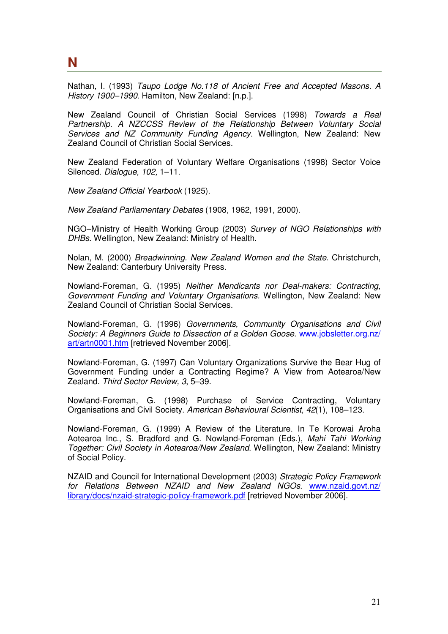**N** 

Nathan, I. (1993) Taupo Lodge No.118 of Ancient Free and Accepted Masons. A History 1900–1990. Hamilton, New Zealand: [n.p.].

New Zealand Council of Christian Social Services (1998) Towards a Real Partnership. A NZCCSS Review of the Relationship Between Voluntary Social Services and NZ Community Funding Agency. Wellington, New Zealand: New Zealand Council of Christian Social Services.

New Zealand Federation of Voluntary Welfare Organisations (1998) Sector Voice Silenced. Dialogue, 102, 1-11.

New Zealand Official Yearbook (1925).

New Zealand Parliamentary Debates (1908, 1962, 1991, 2000).

NGO–Ministry of Health Working Group (2003) Survey of NGO Relationships with DHBs. Wellington, New Zealand: Ministry of Health.

Nolan, M. (2000) Breadwinning. New Zealand Women and the State. Christchurch, New Zealand: Canterbury University Press.

Nowland-Foreman, G. (1995) Neither Mendicants nor Deal-makers: Contracting, Government Funding and Voluntary Organisations. Wellington, New Zealand: New Zealand Council of Christian Social Services.

Nowland-Foreman, G. (1996) Governments, Community Organisations and Civil Society: A Beginners Guide to Dissection of a Golden Goose. www.jobsletter.org.nz/ art/artn0001.htm [retrieved November 2006].

Nowland-Foreman, G. (1997) Can Voluntary Organizations Survive the Bear Hug of Government Funding under a Contracting Regime? A View from Aotearoa/New Zealand. Third Sector Review, 3, 5–39.

Nowland-Foreman, G. (1998) Purchase of Service Contracting, Voluntary Organisations and Civil Society. American Behavioural Scientist, 42(1), 108–123.

Nowland-Foreman, G. (1999) A Review of the Literature. In Te Korowai Aroha Aotearoa Inc., S. Bradford and G. Nowland-Foreman (Eds.), Mahi Tahi Working Together: Civil Society in Aotearoa/New Zealand. Wellington, New Zealand: Ministry of Social Policy.

NZAID and Council for International Development (2003) Strategic Policy Framework for Relations Between NZAID and New Zealand NGOs. www.nzaid.govt.nz/ library/docs/nzaid-strategic-policy-framework.pdf [retrieved November 2006].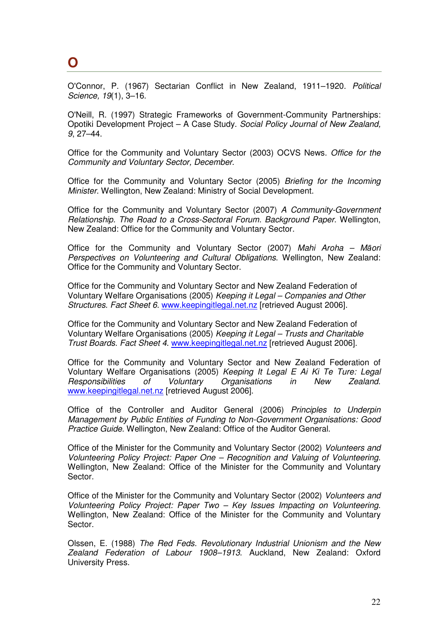#### **O**

O'Connor, P. (1967) Sectarian Conflict in New Zealand, 1911–1920. Political Science, 19(1), 3–16.

O'Neill, R. (1997) Strategic Frameworks of Government-Community Partnerships: Opotiki Development Project – A Case Study. Social Policy Journal of New Zealand, 9, 27–44.

Office for the Community and Voluntary Sector (2003) OCVS News. Office for the Community and Voluntary Sector, December.

Office for the Community and Voluntary Sector (2005) Briefing for the Incoming Minister. Wellington, New Zealand: Ministry of Social Development.

Office for the Community and Voluntary Sector (2007) A Community-Government Relationship. The Road to a Cross-Sectoral Forum. Background Paper. Wellington, New Zealand: Office for the Community and Voluntary Sector.

Office for the Community and Voluntary Sector (2007) Mahi Aroha – Māori Perspectives on Volunteering and Cultural Obligations. Wellington, New Zealand: Office for the Community and Voluntary Sector.

Office for the Community and Voluntary Sector and New Zealand Federation of Voluntary Welfare Organisations (2005) Keeping it Legal – Companies and Other Structures. Fact Sheet 6. www.keepingitlegal.net.nz [retrieved August 2006].

Office for the Community and Voluntary Sector and New Zealand Federation of Voluntary Welfare Organisations (2005) Keeping it Legal – Trusts and Charitable Trust Boards. Fact Sheet 4. www.keepingitlegal.net.nz [retrieved August 2006].

Office for the Community and Voluntary Sector and New Zealand Federation of Voluntary Welfare Organisations (2005) Keeping It Legal E Ai Ki Te Ture: Legal Responsibilities of Voluntary Organisations in New Zealand. www.keepingitlegal.net.nz [retrieved August 2006].

Office of the Controller and Auditor General (2006) Principles to Underpin Management by Public Entities of Funding to Non-Government Organisations: Good Practice Guide. Wellington, New Zealand: Office of the Auditor General.

Office of the Minister for the Community and Voluntary Sector (2002) Volunteers and Volunteering Policy Project: Paper One – Recognition and Valuing of Volunteering. Wellington, New Zealand: Office of the Minister for the Community and Voluntary Sector.

Office of the Minister for the Community and Voluntary Sector (2002) Volunteers and Volunteering Policy Project: Paper Two – Key Issues Impacting on Volunteering. Wellington, New Zealand: Office of the Minister for the Community and Voluntary Sector.

Olssen, E. (1988) The Red Feds. Revolutionary Industrial Unionism and the New Zealand Federation of Labour 1908–1913. Auckland, New Zealand: Oxford University Press.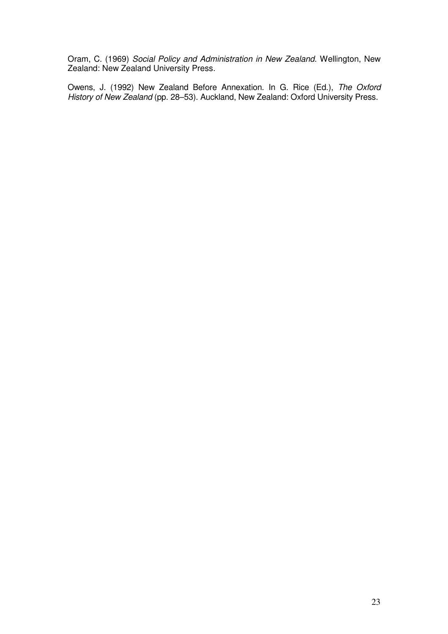Oram, C. (1969) Social Policy and Administration in New Zealand. Wellington, New Zealand: New Zealand University Press.

Owens, J. (1992) New Zealand Before Annexation. In G. Rice (Ed.), The Oxford History of New Zealand (pp. 28–53). Auckland, New Zealand: Oxford University Press.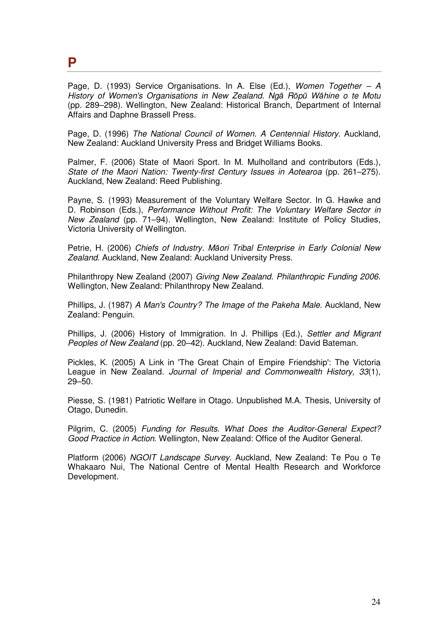#### **P**

Page, D. (1993) Service Organisations. In A. Else (Ed.), Women Together  $- A$ History of Women's Organisations in New Zealand. Ngā Rōpū Wāhine o te Motu (pp. 289–298). Wellington, New Zealand: Historical Branch, Department of Internal Affairs and Daphne Brassell Press.

Page, D. (1996) The National Council of Women. A Centennial History. Auckland, New Zealand: Auckland University Press and Bridget Williams Books.

Palmer, F. (2006) State of Maori Sport. In M. Mulholland and contributors (Eds.), State of the Maori Nation: Twenty-first Century Issues in Aotearoa (pp. 261–275). Auckland, New Zealand: Reed Publishing.

Payne, S. (1993) Measurement of the Voluntary Welfare Sector. In G. Hawke and D. Robinson (Eds.), Performance Without Profit: The Voluntary Welfare Sector in New Zealand (pp. 71–94). Wellington, New Zealand: Institute of Policy Studies, Victoria University of Wellington.

Petrie, H. (2006) Chiefs of Industry. Māori Tribal Enterprise in Early Colonial New Zealand. Auckland, New Zealand: Auckland University Press.

Philanthropy New Zealand (2007) Giving New Zealand. Philanthropic Funding 2006. Wellington, New Zealand: Philanthropy New Zealand.

Phillips, J. (1987) A Man's Country? The Image of the Pakeha Male. Auckland, New Zealand: Penguin.

Phillips, J. (2006) History of Immigration. In J. Phillips (Ed.), Settler and Migrant Peoples of New Zealand (pp. 20–42). Auckland, New Zealand: David Bateman.

Pickles, K. (2005) A Link in 'The Great Chain of Empire Friendship': The Victoria League in New Zealand. Journal of Imperial and Commonwealth History, 33(1), 29–50.

Piesse, S. (1981) Patriotic Welfare in Otago. Unpublished M.A. Thesis, University of Otago, Dunedin.

Pilgrim, C. (2005) Funding for Results. What Does the Auditor-General Expect? Good Practice in Action. Wellington, New Zealand: Office of the Auditor General.

Platform (2006) NGOIT Landscape Survey. Auckland, New Zealand: Te Pou o Te Whakaaro Nui, The National Centre of Mental Health Research and Workforce Development.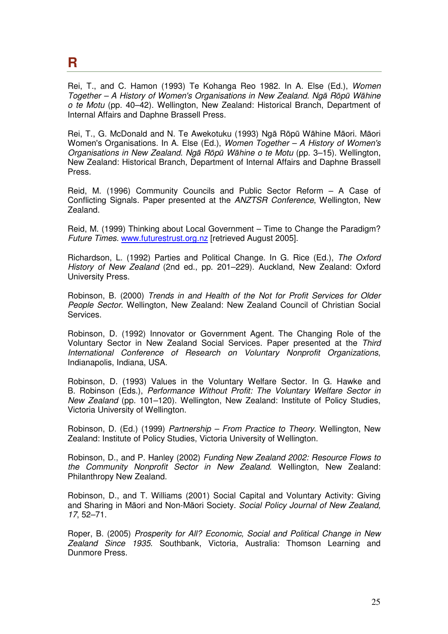#### **R**

Rei, T., and C. Hamon (1993) Te Kohanga Reo 1982. In A. Else (Ed.), Women Together – A History of Women's Organisations in New Zealand. Ngā Rōpū Wāhine o te Motu (pp. 40–42). Wellington, New Zealand: Historical Branch, Department of Internal Affairs and Daphne Brassell Press.

Rei, T., G. McDonald and N. Te Awekotuku (1993) Ngā Rōpū Wāhine Māori. Māori Women's Organisations. In A. Else (Ed.), Women Together – A History of Women's Organisations in New Zealand. Ngā Rōpū Wāhine o te Motu (pp. 3–15). Wellington, New Zealand: Historical Branch, Department of Internal Affairs and Daphne Brassell Press.

Reid, M. (1996) Community Councils and Public Sector Reform – A Case of Conflicting Signals. Paper presented at the ANZTSR Conference, Wellington, New Zealand.

Reid, M. (1999) Thinking about Local Government – Time to Change the Paradigm? Future Times. www.futurestrust.org.nz [retrieved August 2005].

Richardson, L. (1992) Parties and Political Change. In G. Rice (Ed.), The Oxford History of New Zealand (2nd ed., pp. 201–229). Auckland, New Zealand: Oxford University Press.

Robinson, B. (2000) Trends in and Health of the Not for Profit Services for Older People Sector. Wellington, New Zealand: New Zealand Council of Christian Social Services.

Robinson, D. (1992) Innovator or Government Agent. The Changing Role of the Voluntary Sector in New Zealand Social Services. Paper presented at the Third International Conference of Research on Voluntary Nonprofit Organizations, Indianapolis, Indiana, USA.

Robinson, D. (1993) Values in the Voluntary Welfare Sector. In G. Hawke and B. Robinson (Eds.), Performance Without Profit: The Voluntary Welfare Sector in New Zealand (pp. 101–120). Wellington, New Zealand: Institute of Policy Studies, Victoria University of Wellington.

Robinson, D. (Ed.) (1999) Partnership – From Practice to Theory. Wellington, New Zealand: Institute of Policy Studies, Victoria University of Wellington.

Robinson, D., and P. Hanley (2002) Funding New Zealand 2002: Resource Flows to the Community Nonprofit Sector in New Zealand. Wellington, New Zealand: Philanthropy New Zealand.

Robinson, D., and T. Williams (2001) Social Capital and Voluntary Activity: Giving and Sharing in Māori and Non-Māori Society. Social Policy Journal of New Zealand, 17, 52–71.

Roper, B. (2005) Prosperity for All? Economic, Social and Political Change in New Zealand Since 1935. Southbank, Victoria, Australia: Thomson Learning and Dunmore Press.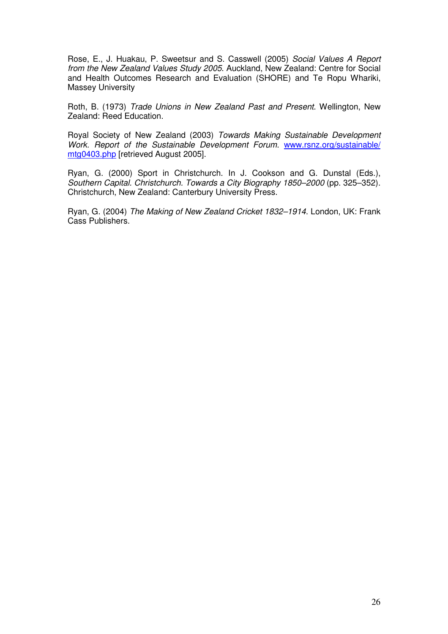Rose, E., J. Huakau, P. Sweetsur and S. Casswell (2005) Social Values A Report from the New Zealand Values Study 2005. Auckland, New Zealand: Centre for Social and Health Outcomes Research and Evaluation (SHORE) and Te Ropu Whariki, Massey University

Roth, B. (1973) Trade Unions in New Zealand Past and Present. Wellington, New Zealand: Reed Education.

Royal Society of New Zealand (2003) Towards Making Sustainable Development Work. Report of the Sustainable Development Forum. www.rsnz.org/sustainable/ mtg0403.php [retrieved August 2005].

Ryan, G. (2000) Sport in Christchurch. In J. Cookson and G. Dunstal (Eds.), Southern Capital. Christchurch. Towards a City Biography 1850–2000 (pp. 325–352). Christchurch, New Zealand: Canterbury University Press.

Ryan, G. (2004) The Making of New Zealand Cricket 1832–1914. London, UK: Frank Cass Publishers.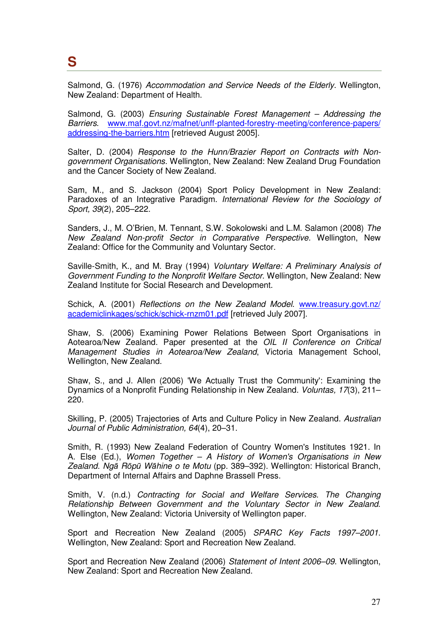## **S**

Salmond, G. (1976) Accommodation and Service Needs of the Elderly. Wellington, New Zealand: Department of Health.

Salmond, G. (2003) Ensuring Sustainable Forest Management – Addressing the Barriers. www.maf.govt.nz/mafnet/unff-planted-forestry-meeting/conference-papers/ addressing-the-barriers.htm [retrieved August 2005].

Salter, D. (2004) Response to the Hunn/Brazier Report on Contracts with Nongovernment Organisations. Wellington, New Zealand: New Zealand Drug Foundation and the Cancer Society of New Zealand.

Sam, M., and S. Jackson (2004) Sport Policy Development in New Zealand: Paradoxes of an Integrative Paradigm. International Review for the Sociology of Sport, 39(2), 205–222.

Sanders, J., M. O'Brien, M. Tennant, S.W. Sokolowski and L.M. Salamon (2008) The New Zealand Non-profit Sector in Comparative Perspective. Wellington, New Zealand: Office for the Community and Voluntary Sector.

Saville-Smith, K., and M. Bray (1994) Voluntary Welfare: A Preliminary Analysis of Government Funding to the Nonprofit Welfare Sector. Wellington, New Zealand: New Zealand Institute for Social Research and Development.

Schick, A. (2001) Reflections on the New Zealand Model. www.treasury.govt.nz/ academiclinkages/schick/schick-rnzm01.pdf [retrieved July 2007].

Shaw, S. (2006) Examining Power Relations Between Sport Organisations in Aotearoa/New Zealand. Paper presented at the OIL II Conference on Critical Management Studies in Aotearoa/New Zealand, Victoria Management School, Wellington, New Zealand.

Shaw, S., and J. Allen (2006) 'We Actually Trust the Community': Examining the Dynamics of a Nonprofit Funding Relationship in New Zealand. Voluntas, 17(3), 211– 220.

Skilling, P. (2005) Trajectories of Arts and Culture Policy in New Zealand. Australian Journal of Public Administration, 64(4), 20–31.

Smith, R. (1993) New Zealand Federation of Country Women's Institutes 1921. In A. Else (Ed.), Women Together – A History of Women's Organisations in New Zealand. Ngā Rōpū Wāhine o te Motu (pp. 389–392). Wellington: Historical Branch, Department of Internal Affairs and Daphne Brassell Press.

Smith, V. (n.d.) Contracting for Social and Welfare Services. The Changing Relationship Between Government and the Voluntary Sector in New Zealand. Wellington, New Zealand: Victoria University of Wellington paper.

Sport and Recreation New Zealand (2005) SPARC Key Facts 1997–2001. Wellington, New Zealand: Sport and Recreation New Zealand.

Sport and Recreation New Zealand (2006) Statement of Intent 2006–09. Wellington, New Zealand: Sport and Recreation New Zealand.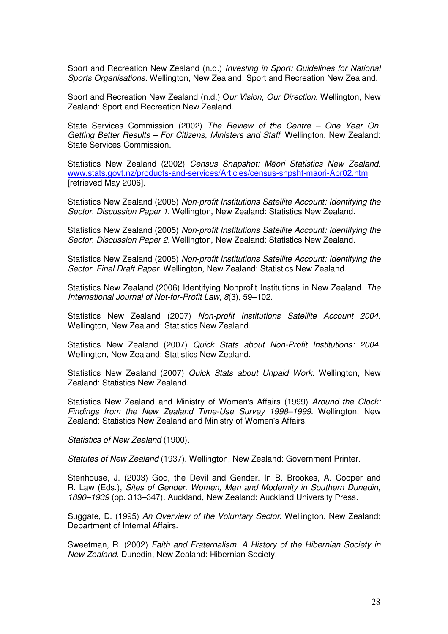Sport and Recreation New Zealand (n.d.) Investing in Sport: Guidelines for National Sports Organisations. Wellington, New Zealand: Sport and Recreation New Zealand.

Sport and Recreation New Zealand (n.d.) Our Vision, Our Direction. Wellington, New Zealand: Sport and Recreation New Zealand.

State Services Commission (2002) The Review of the Centre – One Year On. Getting Better Results – For Citizens, Ministers and Staff. Wellington, New Zealand: State Services Commission.

Statistics New Zealand (2002) Census Snapshot: Māori Statistics New Zealand. www.stats.govt.nz/products-and-services/Articles/census-snpsht-maori-Apr02.htm [retrieved May 2006].

Statistics New Zealand (2005) Non-profit Institutions Satellite Account: Identifying the Sector. Discussion Paper 1. Wellington, New Zealand: Statistics New Zealand.

Statistics New Zealand (2005) Non-profit Institutions Satellite Account: Identifying the Sector. Discussion Paper 2. Wellington, New Zealand: Statistics New Zealand.

Statistics New Zealand (2005) Non-profit Institutions Satellite Account: Identifying the Sector. Final Draft Paper. Wellington, New Zealand: Statistics New Zealand.

Statistics New Zealand (2006) Identifying Nonprofit Institutions in New Zealand. The International Journal of Not-for-Profit Law, 8(3), 59–102.

Statistics New Zealand (2007) Non-profit Institutions Satellite Account 2004. Wellington, New Zealand: Statistics New Zealand.

Statistics New Zealand (2007) Quick Stats about Non-Profit Institutions: 2004. Wellington, New Zealand: Statistics New Zealand.

Statistics New Zealand (2007) Quick Stats about Unpaid Work. Wellington, New Zealand: Statistics New Zealand.

Statistics New Zealand and Ministry of Women's Affairs (1999) Around the Clock: Findings from the New Zealand Time-Use Survey 1998–1999. Wellington, New Zealand: Statistics New Zealand and Ministry of Women's Affairs.

Statistics of New Zealand (1900).

Statutes of New Zealand (1937). Wellington, New Zealand: Government Printer.

Stenhouse, J. (2003) God, the Devil and Gender. In B. Brookes, A. Cooper and R. Law (Eds.), Sites of Gender. Women, Men and Modernity in Southern Dunedin, 1890–1939 (pp. 313–347). Auckland, New Zealand: Auckland University Press.

Suggate, D. (1995) An Overview of the Voluntary Sector. Wellington, New Zealand: Department of Internal Affairs.

Sweetman, R. (2002) Faith and Fraternalism. A History of the Hibernian Society in New Zealand. Dunedin, New Zealand: Hibernian Society.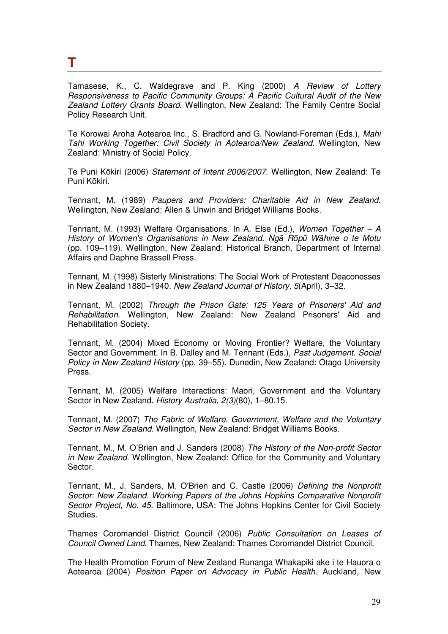#### **T**

Tamasese, K., C. Waldegrave and P. King (2000) A Review of Lottery Responsiveness to Pacific Community Groups: A Pacific Cultural Audit of the New Zealand Lottery Grants Board. Wellington, New Zealand: The Family Centre Social Policy Research Unit.

Te Korowai Aroha Aotearoa Inc., S. Bradford and G. Nowland-Foreman (Eds.), Mahi Tahi Working Together: Civil Society in Aotearoa/New Zealand. Wellington, New Zealand: Ministry of Social Policy.

Te Puni Kōkiri (2006) Statement of Intent 2006/2007. Wellington, New Zealand: Te Puni Kōkiri.

Tennant, M. (1989) Paupers and Providers: Charitable Aid in New Zealand. Wellington, New Zealand: Allen & Unwin and Bridget Williams Books.

Tennant, M. (1993) Welfare Organisations. In A. Else (Ed.), Women Together – A History of Women's Organisations in New Zealand. Ngā Rōpū Wāhine o te Motu (pp. 109–119). Wellington, New Zealand: Historical Branch, Department of Internal Affairs and Daphne Brassell Press.

Tennant, M. (1998) Sisterly Ministrations: The Social Work of Protestant Deaconesses in New Zealand 1880–1940. New Zealand Journal of History, 5(April), 3–32.

Tennant, M. (2002) Through the Prison Gate: 125 Years of Prisoners' Aid and Rehabilitation. Wellington, New Zealand: New Zealand Prisoners' Aid and Rehabilitation Society.

Tennant, M. (2004) Mixed Economy or Moving Frontier? Welfare, the Voluntary Sector and Government. In B. Dalley and M. Tennant (Eds.), Past Judgement. Social Policy in New Zealand History (pp. 39–55). Dunedin, New Zealand: Otago University Press.

Tennant, M. (2005) Welfare Interactions: Maori, Government and the Voluntary Sector in New Zealand. History Australia, 2(3)(80), 1–80.15.

Tennant, M. (2007) The Fabric of Welfare. Government, Welfare and the Voluntary Sector in New Zealand. Wellington, New Zealand: Bridget Williams Books.

Tennant, M., M. O'Brien and J. Sanders (2008) The History of the Non-profit Sector in New Zealand. Wellington, New Zealand: Office for the Community and Voluntary Sector.

Tennant, M., J. Sanders, M. O'Brien and C. Castle (2006) Defining the Nonprofit Sector: New Zealand. Working Papers of the Johns Hopkins Comparative Nonprofit Sector Project, No. 45. Baltimore, USA: The Johns Hopkins Center for Civil Society Studies.

Thames Coromandel District Council (2006) Public Consultation on Leases of Council Owned Land. Thames, New Zealand: Thames Coromandel District Council.

The Health Promotion Forum of New Zealand Runanga Whakapiki ake i te Hauora o Aotearoa (2004) Position Paper on Advocacy in Public Health. Auckland, New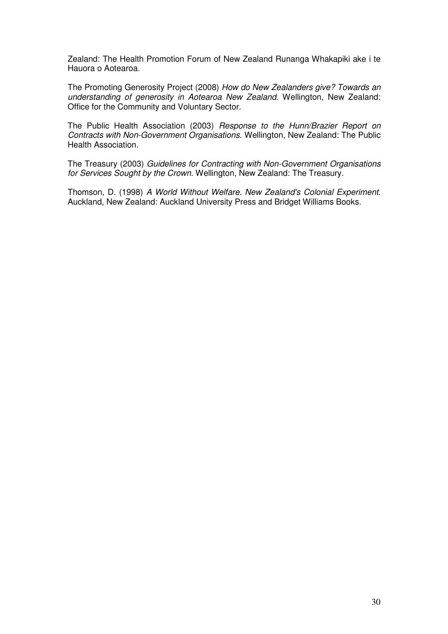Zealand: The Health Promotion Forum of New Zealand Runanga Whakapiki ake i te Hauora o Aotearoa.

The Promoting Generosity Project (2008) How do New Zealanders give? Towards an understanding of generosity in Aotearoa New Zealand. Wellington, New Zealand: Office for the Community and Voluntary Sector.

The Public Health Association (2003) Response to the Hunn/Brazier Report on Contracts with Non-Government Organisations. Wellington, New Zealand: The Public Health Association.

The Treasury (2003) Guidelines for Contracting with Non-Government Organisations for Services Sought by the Crown. Wellington, New Zealand: The Treasury.

Thomson, D. (1998) A World Without Welfare. New Zealand's Colonial Experiment. Auckland, New Zealand: Auckland University Press and Bridget Williams Books.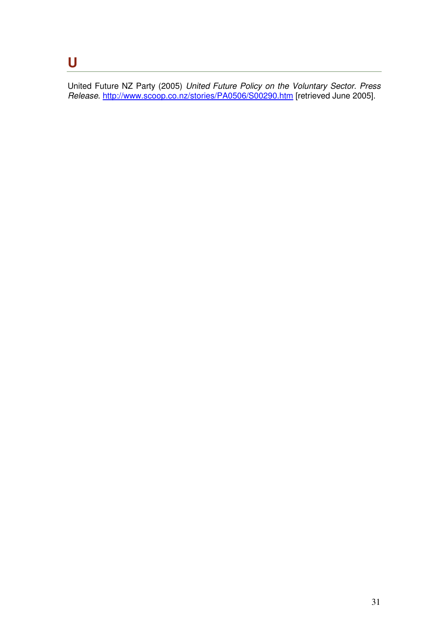#### **U**

United Future NZ Party (2005) United Future Policy on the Voluntary Sector. Press Release. http://www.scoop.co.nz/stories/PA0506/S00290.htm [retrieved June 2005].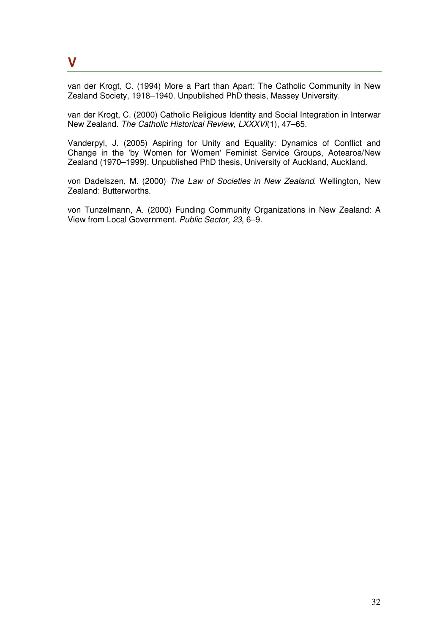#### **V**

van der Krogt, C. (1994) More a Part than Apart: The Catholic Community in New Zealand Society, 1918–1940. Unpublished PhD thesis, Massey University.

van der Krogt, C. (2000) Catholic Religious Identity and Social Integration in Interwar New Zealand. The Catholic Historical Review, LXXXVI(1), 47–65.

Vanderpyl, J. (2005) Aspiring for Unity and Equality: Dynamics of Conflict and Change in the 'by Women for Women' Feminist Service Groups, Aotearoa/New Zealand (1970–1999). Unpublished PhD thesis, University of Auckland, Auckland.

von Dadelszen, M. (2000) The Law of Societies in New Zealand. Wellington, New Zealand: Butterworths.

von Tunzelmann, A. (2000) Funding Community Organizations in New Zealand: A View from Local Government. Public Sector, 23, 6–9.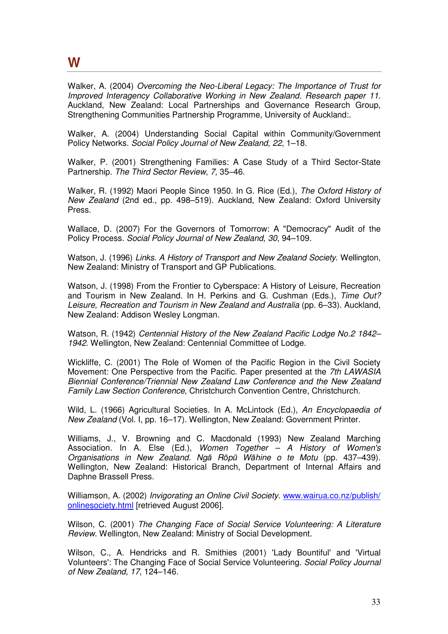#### **W**

Walker, A. (2004) Overcoming the Neo-Liberal Legacy: The Importance of Trust for Improved Interagency Collaborative Working in New Zealand. Research paper 11. Auckland, New Zealand: Local Partnerships and Governance Research Group, Strengthening Communities Partnership Programme, University of Auckland:.

Walker, A. (2004) Understanding Social Capital within Community/Government Policy Networks. Social Policy Journal of New Zealand, 22, 1–18.

Walker, P. (2001) Strengthening Families: A Case Study of a Third Sector-State Partnership. The Third Sector Review, 7, 35–46.

Walker, R. (1992) Maori People Since 1950. In G. Rice (Ed.), The Oxford History of New Zealand (2nd ed., pp. 498–519). Auckland, New Zealand: Oxford University Press.

Wallace, D. (2007) For the Governors of Tomorrow: A "Democracy" Audit of the Policy Process. Social Policy Journal of New Zealand, 30, 94–109.

Watson, J. (1996) Links. A History of Transport and New Zealand Society. Wellington, New Zealand: Ministry of Transport and GP Publications.

Watson, J. (1998) From the Frontier to Cyberspace: A History of Leisure, Recreation and Tourism in New Zealand. In H. Perkins and G. Cushman (Eds.), Time Out? Leisure, Recreation and Tourism in New Zealand and Australia (pp. 6–33). Auckland, New Zealand: Addison Wesley Longman.

Watson, R. (1942) Centennial History of the New Zealand Pacific Lodge No.2 1842– 1942. Wellington, New Zealand: Centennial Committee of Lodge.

Wickliffe, C. (2001) The Role of Women of the Pacific Region in the Civil Society Movement: One Perspective from the Pacific. Paper presented at the 7th LAWASIA Biennial Conference/Triennial New Zealand Law Conference and the New Zealand Family Law Section Conference, Christchurch Convention Centre, Christchurch.

Wild, L. (1966) Agricultural Societies. In A. McLintock (Ed.), An Encyclopaedia of New Zealand (Vol. I, pp. 16–17). Wellington, New Zealand: Government Printer.

Williams, J., V. Browning and C. Macdonald (1993) New Zealand Marching Association. In A. Else (Ed.), Women Together  $-$  A History of Women's Organisations in New Zealand. Ngā Rōpū Wāhine o te Motu (pp. 437–439). Wellington, New Zealand: Historical Branch, Department of Internal Affairs and Daphne Brassell Press.

Williamson, A. (2002) Invigorating an Online Civil Society. www.wairua.co.nz/publish/ onlinesociety.html [retrieved August 2006].

Wilson, C. (2001) The Changing Face of Social Service Volunteering: A Literature Review. Wellington, New Zealand: Ministry of Social Development.

Wilson, C., A. Hendricks and R. Smithies (2001) 'Lady Bountiful' and 'Virtual Volunteers': The Changing Face of Social Service Volunteering. Social Policy Journal of New Zealand, 17, 124–146.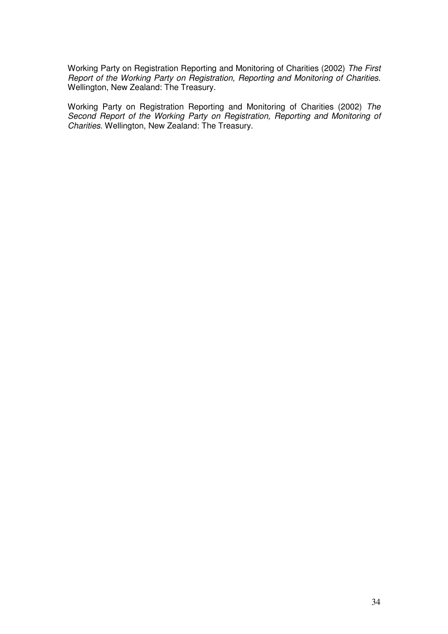Working Party on Registration Reporting and Monitoring of Charities (2002) The First Report of the Working Party on Registration, Reporting and Monitoring of Charities. Wellington, New Zealand: The Treasury.

Working Party on Registration Reporting and Monitoring of Charities (2002) The Second Report of the Working Party on Registration, Reporting and Monitoring of Charities. Wellington, New Zealand: The Treasury.